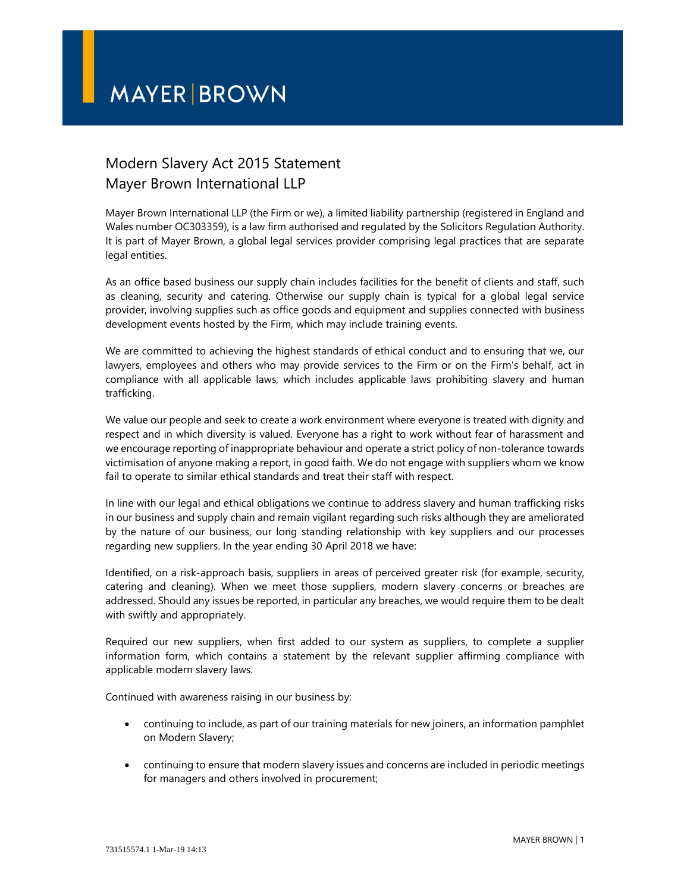## **MAYER BROWN**

## Modern Slavery Act 2015 Statement Mayer Brown International LLP

Mayer Brown International LLP (the Firm or we), a limited liability partnership (registered in England and Wales number OC303359), is a law firm authorised and regulated by the Solicitors Regulation Authority. It is part of Mayer Brown, a global legal services provider comprising legal practices that are separate legal entities.

As an office based business our supply chain includes facilities for the benefit of clients and staff, such as cleaning, security and catering. Otherwise our supply chain is typical for a global legal service provider, involving supplies such as office goods and equipment and supplies connected with business development events hosted by the Firm, which may include training events.

We are committed to achieving the highest standards of ethical conduct and to ensuring that we, our lawyers, employees and others who may provide services to the Firm or on the Firm's behalf, act in compliance with all applicable laws, which includes applicable laws prohibiting slavery and human trafficking.

We value our people and seek to create a work environment where everyone is treated with dignity and respect and in which diversity is valued. Everyone has a right to work without fear of harassment and we encourage reporting of inappropriate behaviour and operate a strict policy of non-tolerance towards victimisation of anyone making a report, in good faith. We do not engage with suppliers whom we know fail to operate to similar ethical standards and treat their staff with respect.

In line with our legal and ethical obligations we continue to address slavery and human trafficking risks in our business and supply chain and remain vigilant regarding such risks although they are ameliorated by the nature of our business, our long standing relationship with key suppliers and our processes regarding new suppliers. In the year ending 30 April 2018 we have:

Identified, on a risk-approach basis, suppliers in areas of perceived greater risk (for example, security, catering and cleaning). When we meet those suppliers, modern slavery concerns or breaches are addressed. Should any issues be reported, in particular any breaches, we would require them to be dealt with swiftly and appropriately.

Required our new suppliers, when first added to our system as suppliers, to complete a supplier information form, which contains a statement by the relevant supplier affirming compliance with applicable modern slavery laws.

Continued with awareness raising in our business by:

- continuing to include, as part of our training materials for new joiners, an information pamphlet on Modern Slavery;
- continuing to ensure that modern slavery issues and concerns are included in periodic meetings for managers and others involved in procurement;